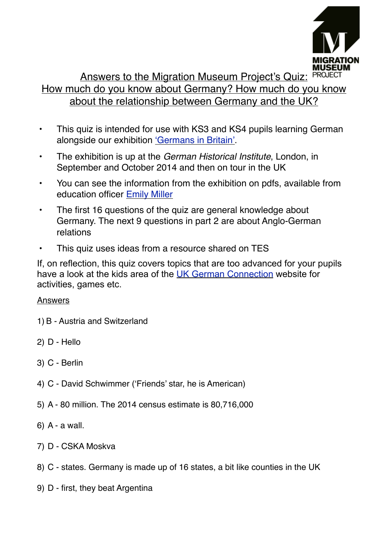

## Answers to the Migration Museum Project's Quiz: PROJECT How much do you know about Germany? How much do you know about the relationship between Germany and the UK?

- This quiz is intended for use with KS3 and KS4 pupils learning German alongside our exhibition ['Germans in Britain'](http://migrationmuseum.org).
- The exhibition is up at the *German Historical Institute*, London, in September and October 2014 and then on tour in the UK
- You can see the information from the exhibition on pdfs, available from education officer [Emily Miller](mailto:emily@migrationmuseum.org?subject=Germans%20in%20Britain%20exhibition%20enquiry)
- The first 16 questions of the quiz are general knowledge about Germany. The next 9 questions in part 2 are about Anglo-German relations
- This quiz uses ideas from a resource shared on TES

If, on reflection, this quiz covers topics that are too advanced for your pupils have a look at the kids area of the [UK German Connection](http://www.ukgermanconnection.org/kids-home-uk) website for activities, games etc.

## Answers

- 1) B Austria and Switzerland
- 2) D Hello
- 3) C Berlin
- 4) C David Schwimmer ('Friends' star, he is American)
- 5) A 80 million. The 2014 census estimate is 80,716,000
- 6) A a wall.
- 7) D CSKA Moskva
- 8) C states. Germany is made up of 16 states, a bit like counties in the UK
- 9) D first, they beat Argentina